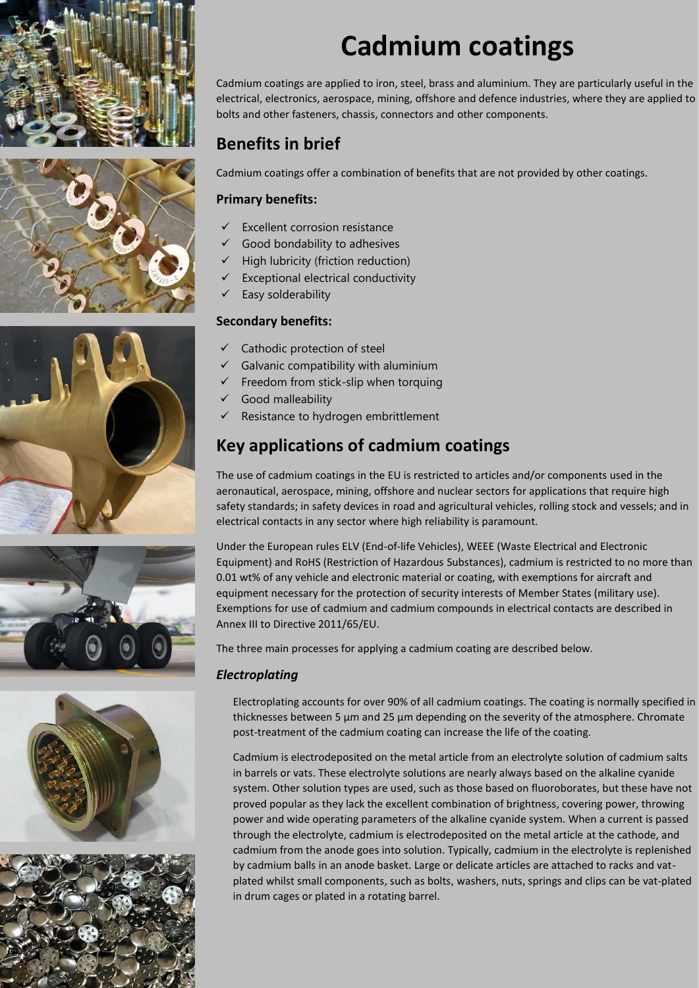











# **Cadmium coatings**

Cadmium coatings are applied to iron, steel, brass and aluminium. They are particularly useful in the electrical, electronics, aerospace, mining, offshore and defence industries, where they are applied to bolts and other fasteners, chassis, connectors and other components.

## **Benefits in brief**

Cadmium coatings offer a combination of benefits that are not provided by other coatings.

### **Primary benefits:**

- Excellent corrosion resistance
- Good bondability to adhesives
- High lubricity (friction reduction)
- Exceptional electrical conductivity
- Easy solderability

### **Secondary benefits:**

- Cathodic protection of steel
- $\checkmark$  Galvanic compatibility with aluminium
- Freedom from stick-slip when torquing
- Good malleability
- Resistance to hydrogen embrittlement

### **Key applications of cadmium coatings**

The use of cadmium coatings in the EU is restricted to articles and/or components used in the aeronautical, aerospace, mining, offshore and nuclear sectors for applications that require high safety standards; in safety devices in road and agricultural vehicles, rolling stock and vessels; and in electrical contacts in any sector where high reliability is paramount.

Under the European rules ELV (End-of-life Vehicles), WEEE (Waste Electrical and Electronic Equipment) and RoHS (Restriction of Hazardous Substances), cadmium is restricted to no more than 0.01 wt% of any vehicle and electronic material or coating, with exemptions for aircraft and equipment necessary for the protection of security interests of Member States (military use). Exemptions for use of cadmium and cadmium compounds in electrical contacts are described in Annex III to Directive 2011/65/EU.

The three main processes for applying a cadmium coating are described below.

### *Electroplating*

Electroplating accounts for over 90% of all cadmium coatings. The coating is normally specified in thicknesses between 5  $\mu$ m and 25  $\mu$ m depending on the severity of the atmosphere. Chromate post-treatment of the cadmium coating can increase the life of the coating.

Cadmium is electrodeposited on the metal article from an electrolyte solution of cadmium salts in barrels or vats. These electrolyte solutions are nearly always based on the alkaline cyanide system. Other solution types are used, such as those based on fluoroborates, but these have not proved popular as they lack the excellent combination of brightness, covering power, throwing power and wide operating parameters of the alkaline cyanide system. When a current is passed through the electrolyte, cadmium is electrodeposited on the metal article at the cathode, and cadmium from the anode goes into solution. Typically, cadmium in the electrolyte is replenished by cadmium balls in an anode basket. Large or delicate articles are attached to racks and vatplated whilst small components, such as bolts, washers, nuts, springs and clips can be vat-plated in drum cages or plated in a rotating barrel.